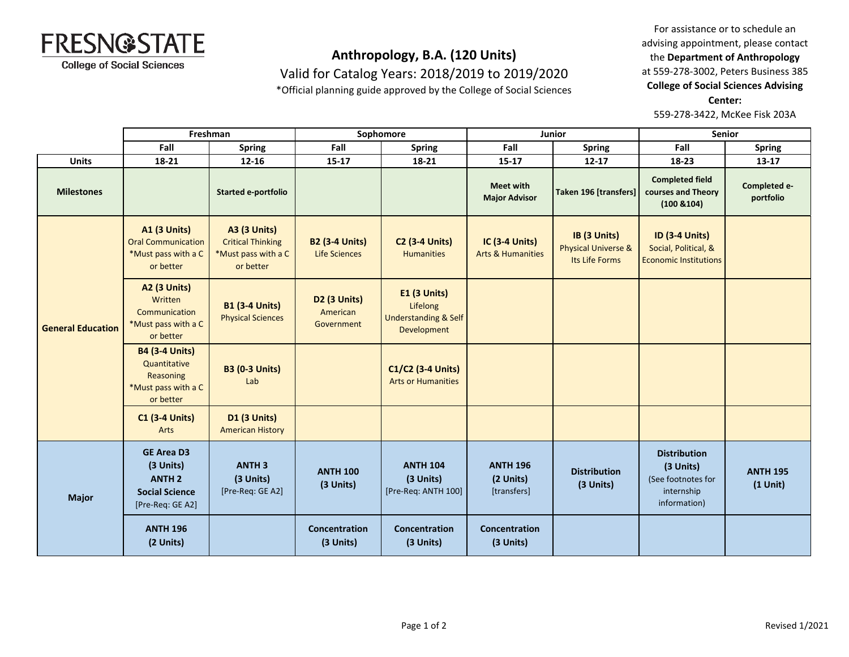

Valid for Catalog Years: 2018/2019 to 2019/2020

\*Official planning guide approved by the College of Social Sciences

For assistance or to schedule an advising appointment, please contact the **Department of Anthropology** at 559-278-3002, Peters Business 385 **College of Social Sciences Advising Center:**  559-278-3422, McKee Fisk 203A

|                          | Freshman                                                                                     |                                                                                     | Sophomore                                     |                                                                            | Junior                                         |                                                                  | Senior                                                                               |                               |
|--------------------------|----------------------------------------------------------------------------------------------|-------------------------------------------------------------------------------------|-----------------------------------------------|----------------------------------------------------------------------------|------------------------------------------------|------------------------------------------------------------------|--------------------------------------------------------------------------------------|-------------------------------|
|                          | Fall                                                                                         | <b>Spring</b>                                                                       | Fall                                          | <b>Spring</b>                                                              | Fall                                           | <b>Spring</b>                                                    | Fall                                                                                 | <b>Spring</b>                 |
| <b>Units</b>             | 18-21                                                                                        | $12 - 16$                                                                           | $15 - 17$                                     | 18-21                                                                      | $15 - 17$                                      | 12-17                                                            | 18-23                                                                                | 13-17                         |
| <b>Milestones</b>        |                                                                                              | <b>Started e-portfolio</b>                                                          |                                               |                                                                            | <b>Meet with</b><br><b>Major Advisor</b>       | Taken 196 [transfers]                                            | <b>Completed field</b><br>courses and Theory<br>(100 8104)                           | Completed e-<br>portfolio     |
| <b>General Education</b> | <b>A1 (3 Units)</b><br><b>Oral Communication</b><br>*Must pass with a C<br>or better         | <b>A3 (3 Units)</b><br><b>Critical Thinking</b><br>*Must pass with a C<br>or better | <b>B2 (3-4 Units)</b><br><b>Life Sciences</b> | <b>C2 (3-4 Units)</b><br><b>Humanities</b>                                 | IC (3-4 Units)<br><b>Arts &amp; Humanities</b> | IB (3 Units)<br><b>Physical Universe &amp;</b><br>Its Life Forms | <b>ID (3-4 Units)</b><br>Social, Political, &<br><b>Economic Institutions</b>        |                               |
|                          | <b>A2 (3 Units)</b><br>Written<br>Communication<br>*Must pass with a C<br>or better          | <b>B1 (3-4 Units)</b><br><b>Physical Sciences</b>                                   | <b>D2 (3 Units)</b><br>American<br>Government | E1 (3 Units)<br>Lifelong<br><b>Understanding &amp; Self</b><br>Development |                                                |                                                                  |                                                                                      |                               |
|                          | <b>B4 (3-4 Units)</b><br>Quantitative<br>Reasoning<br>*Must pass with a C<br>or better       | <b>B3 (0-3 Units)</b><br>Lab                                                        |                                               | C1/C2 (3-4 Units)<br><b>Arts or Humanities</b>                             |                                                |                                                                  |                                                                                      |                               |
|                          | <b>C1 (3-4 Units)</b><br>Arts                                                                | <b>D1 (3 Units)</b><br><b>American History</b>                                      |                                               |                                                                            |                                                |                                                                  |                                                                                      |                               |
| <b>Major</b>             | <b>GE Area D3</b><br>(3 Units)<br><b>ANTH 2</b><br><b>Social Science</b><br>[Pre-Req: GE A2] | <b>ANTH3</b><br>(3 Units)<br>[Pre-Req: GE A2]                                       | <b>ANTH 100</b><br>(3 Units)                  | <b>ANTH 104</b><br>(3 Units)<br>[Pre-Req: ANTH 100]                        | <b>ANTH 196</b><br>(2 Units)<br>[transfers]    | <b>Distribution</b><br>(3 Units)                                 | <b>Distribution</b><br>(3 Units)<br>(See footnotes for<br>internship<br>information) | <b>ANTH 195</b><br>$(1$ Unit) |
|                          | <b>ANTH 196</b><br>(2 Units)                                                                 |                                                                                     | Concentration<br>(3 Units)                    | Concentration<br>(3 Units)                                                 | Concentration<br>(3 Units)                     |                                                                  |                                                                                      |                               |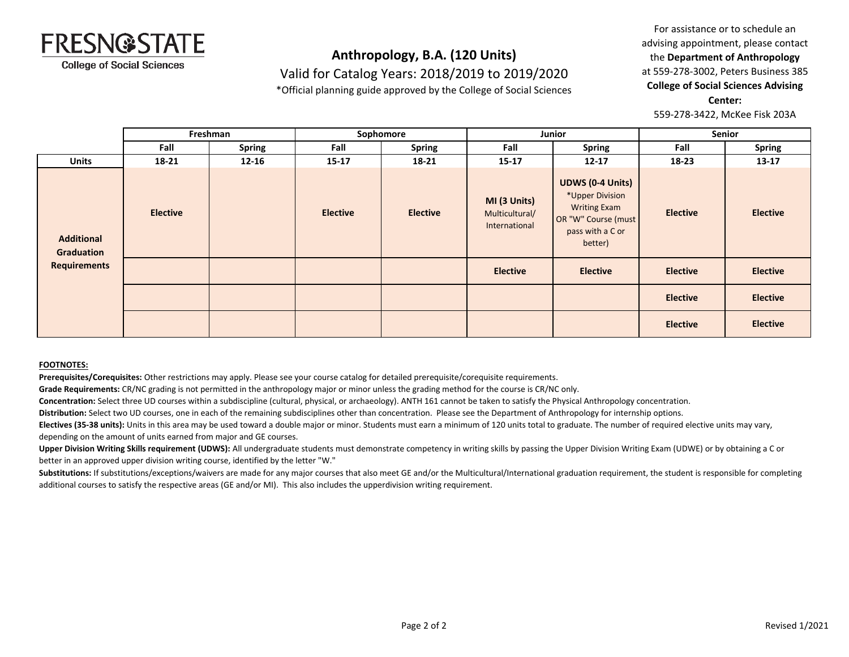

Valid for Catalog Years: 2018/2019 to 2019/2020

\*Official planning guide approved by the College of Social Sciences

For assistance or to schedule an advising appointment, please contact the **Department of Anthropology** at 559-278-3002, Peters Business 385 **College of Social Sciences Advising Center:**  559-278-3422, McKee Fisk 203A

**Fall Spring Fall Spring Fall Spring Fall Spring Units 18-21 12-16 15-17 18-21 15-17 12-17 18-23 13-17 Freshman Sophomore Junior Senior Elective Elective Elective MI (3 Units)** Multicultural/ International **UDWS (0-4 Units)** \*Upper Division Writing Exam OR "W" Course (must pass with a C or better) **Elective Elective Elective Elective Elective Elective Elective Elective Elective Elective Additional Graduation Requirements**

#### **FOOTNOTES:**

**Prerequisites/Corequisites:** Other restrictions may apply. Please see your course catalog for detailed prerequisite/corequisite requirements.

**Grade Requirements:** CR/NC grading is not permitted in the anthropology major or minor unless the grading method for the course is CR/NC only.

**Concentration:** Select three UD courses within a subdiscipline (cultural, physical, or archaeology). ANTH 161 cannot be taken to satisfy the Physical Anthropology concentration.

**Distribution:** Select two UD courses, one in each of the remaining subdisciplines other than concentration. Please see the Department of Anthropology for internship options.

**Electives (35-38 units):** Units in this area may be used toward a double major or minor. Students must earn a minimum of 120 units total to graduate. The number of required elective units may vary, depending on the amount of units earned from major and GE courses.

**Upper Division Writing Skills requirement (UDWS):** All undergraduate students must demonstrate competency in writing skills by passing the Upper Division Writing Exam (UDWE) or by obtaining a C or better in an approved upper division writing course, identified by the letter "W."

Substitutions: If substitutions/exceptions/waivers are made for any major courses that also meet GE and/or the Multicultural/International graduation requirement, the student is responsible for completing additional courses to satisfy the respective areas (GE and/or MI). This also includes the upperdivision writing requirement.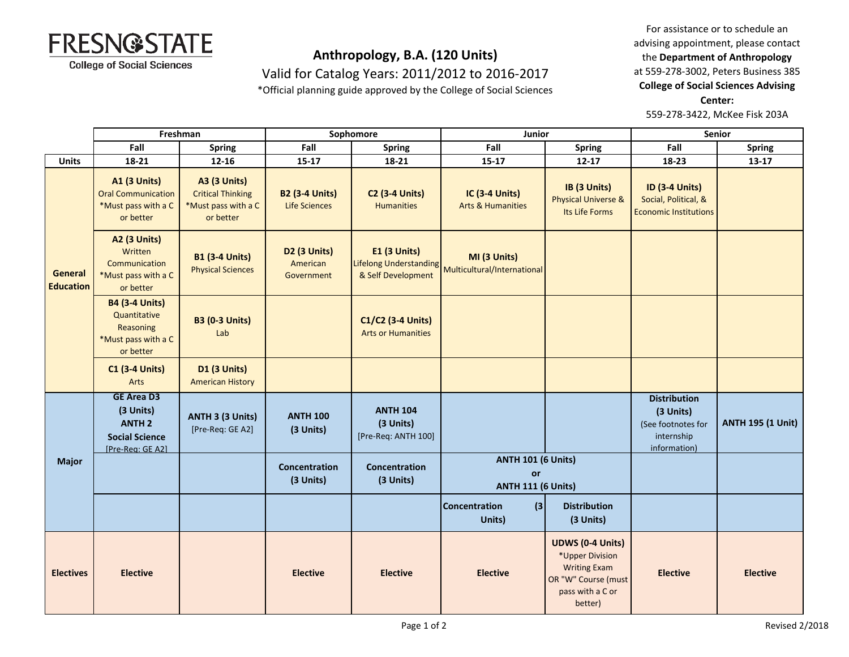

Valid for Catalog Years: 2011/2012 to 2016-2017

\*Official planning guide approved by the College of Social Sciences

For assistance or to schedule an advising appointment, please contact the **Department of Anthropology** at 559-278-3002, Peters Business 385 **College of Social Sciences Advising Center:**  559-278-3422, McKee Fisk 203A

|                             | Freshman                                                                                     |                                                                                     | Sophomore                                          |                                                                     | Junior                                                       |                                                                                                                         | <b>Senior</b>                                                                        |                          |
|-----------------------------|----------------------------------------------------------------------------------------------|-------------------------------------------------------------------------------------|----------------------------------------------------|---------------------------------------------------------------------|--------------------------------------------------------------|-------------------------------------------------------------------------------------------------------------------------|--------------------------------------------------------------------------------------|--------------------------|
|                             | Fall                                                                                         | <b>Spring</b>                                                                       | Fall                                               | <b>Spring</b>                                                       | Fall                                                         | <b>Spring</b>                                                                                                           | Fall                                                                                 | <b>Spring</b>            |
| <b>Units</b>                | 18-21                                                                                        | $12 - 16$                                                                           | $15 - 17$                                          | 18-21                                                               | $15 - 17$                                                    | $12 - 17$                                                                                                               | 18-23                                                                                | $13-17$                  |
| General<br><b>Education</b> | <b>A1 (3 Units)</b><br><b>Oral Communication</b><br>*Must pass with a C<br>or better         | <b>A3 (3 Units)</b><br><b>Critical Thinking</b><br>*Must pass with a C<br>or better | <b>B2 (3-4 Units)</b><br><b>Life Sciences</b>      | <b>C2 (3-4 Units)</b><br><b>Humanities</b>                          | IC (3-4 Units)<br><b>Arts &amp; Humanities</b>               | IB (3 Units)<br><b>Physical Universe &amp;</b><br>Its Life Forms                                                        | <b>ID (3-4 Units)</b><br>Social, Political, &<br><b>Economic Institutions</b>        |                          |
|                             | <b>A2 (3 Units)</b><br>Written<br>Communication<br>*Must pass with a C<br>or better          | <b>B1 (3-4 Units)</b><br><b>Physical Sciences</b>                                   | D <sub>2</sub> (3 Units)<br>American<br>Government | <b>E1 (3 Units)</b><br>Lifelong Understanding<br>& Self Development | MI (3 Units)<br>Multicultural/International                  |                                                                                                                         |                                                                                      |                          |
|                             | <b>B4 (3-4 Units)</b><br>Quantitative<br>Reasoning<br>*Must pass with a C<br>or better       | <b>B3 (0-3 Units)</b><br>Lab                                                        |                                                    | C1/C2 (3-4 Units)<br><b>Arts or Humanities</b>                      |                                                              |                                                                                                                         |                                                                                      |                          |
|                             | <b>C1 (3-4 Units)</b><br>Arts                                                                | D1 (3 Units)<br><b>American History</b>                                             |                                                    |                                                                     |                                                              |                                                                                                                         |                                                                                      |                          |
| <b>Major</b>                | <b>GE Area D3</b><br>(3 Units)<br><b>ANTH 2</b><br><b>Social Science</b><br>[Pre-Rea: GE A2] | ANTH 3 (3 Units)<br>[Pre-Req: GE A2]                                                | <b>ANTH 100</b><br>(3 Units)                       | <b>ANTH 104</b><br>(3 Units)<br>[Pre-Req: ANTH 100]                 |                                                              |                                                                                                                         | <b>Distribution</b><br>(3 Units)<br>(See footnotes for<br>internship<br>information) | <b>ANTH 195 (1 Unit)</b> |
|                             |                                                                                              |                                                                                     | Concentration<br>(3 Units)                         | Concentration<br>(3 Units)                                          | <b>ANTH 101 (6 Units)</b><br>or<br><b>ANTH 111 (6 Units)</b> |                                                                                                                         |                                                                                      |                          |
|                             |                                                                                              |                                                                                     |                                                    |                                                                     | $\left  \right $<br><b>Concentration</b><br>Units)           | <b>Distribution</b><br>(3 Units)                                                                                        |                                                                                      |                          |
| <b>Electives</b>            | <b>Elective</b>                                                                              |                                                                                     | <b>Elective</b>                                    | <b>Elective</b>                                                     | <b>Elective</b>                                              | <b>UDWS (0-4 Units)</b><br>*Upper Division<br><b>Writing Exam</b><br>OR "W" Course (must<br>pass with a C or<br>better) | <b>Elective</b>                                                                      | <b>Elective</b>          |